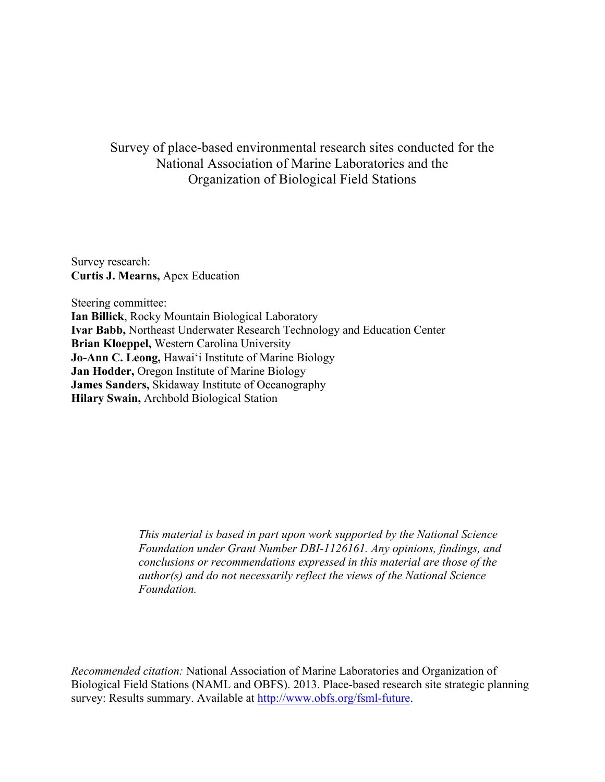# Survey of place-based environmental research sites conducted for the National Association of Marine Laboratories and the Organization of Biological Field Stations

Survey research: **Curtis J. Mearns,** Apex Education

Steering committee: **Ian Billick**, Rocky Mountain Biological Laboratory **Ivar Babb,** Northeast Underwater Research Technology and Education Center **Brian Kloeppel,** Western Carolina University **Jo-Ann C. Leong,** Hawai'i Institute of Marine Biology **Jan Hodder,** Oregon Institute of Marine Biology **James Sanders,** Skidaway Institute of Oceanography **Hilary Swain,** Archbold Biological Station

> *This material is based in part upon work supported by the National Science Foundation under Grant Number DBI-1126161. Any opinions, findings, and conclusions or recommendations expressed in this material are those of the author(s) and do not necessarily reflect the views of the National Science Foundation.*

*Recommended citation:* National Association of Marine Laboratories and Organization of Biological Field Stations (NAML and OBFS). 2013. Place-based research site strategic planning survey: Results summary. Available at http://www.obfs.org/fsml-future.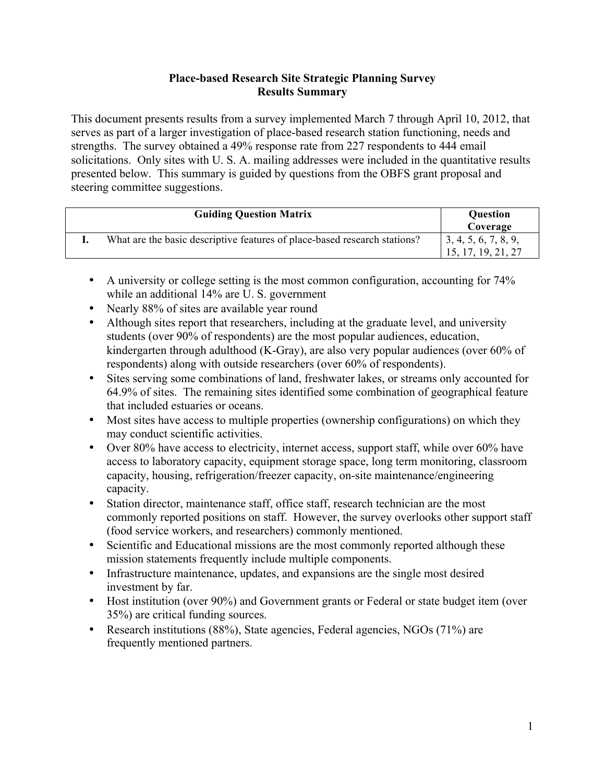### **Place-based Research Site Strategic Planning Survey Results Summary**

This document presents results from a survey implemented March 7 through April 10, 2012, that serves as part of a larger investigation of place-based research station functioning, needs and strengths. The survey obtained a 49% response rate from 227 respondents to 444 email solicitations. Only sites with U. S. A. mailing addresses were included in the quantitative results presented below. This summary is guided by questions from the OBFS grant proposal and steering committee suggestions.

| <b>Guiding Question Matrix</b>                                            | <b>Question</b><br>Coverage                   |
|---------------------------------------------------------------------------|-----------------------------------------------|
| What are the basic descriptive features of place-based research stations? | 1, 3, 4, 5, 6, 7, 8, 9,<br>15, 17, 19, 21, 27 |

- A university or college setting is the most common configuration, accounting for 74% while an additional 14% are U.S. government
- Nearly 88% of sites are available year round
- Although sites report that researchers, including at the graduate level, and university students (over 90% of respondents) are the most popular audiences, education, kindergarten through adulthood (K-Gray), are also very popular audiences (over 60% of respondents) along with outside researchers (over 60% of respondents).
- Sites serving some combinations of land, freshwater lakes, or streams only accounted for 64.9% of sites. The remaining sites identified some combination of geographical feature that included estuaries or oceans.
- Most sites have access to multiple properties (ownership configurations) on which they may conduct scientific activities.
- Over 80% have access to electricity, internet access, support staff, while over 60% have access to laboratory capacity, equipment storage space, long term monitoring, classroom capacity, housing, refrigeration/freezer capacity, on-site maintenance/engineering capacity.
- Station director, maintenance staff, office staff, research technician are the most commonly reported positions on staff. However, the survey overlooks other support staff (food service workers, and researchers) commonly mentioned.
- Scientific and Educational missions are the most commonly reported although these mission statements frequently include multiple components.
- Infrastructure maintenance, updates, and expansions are the single most desired investment by far.
- Host institution (over 90%) and Government grants or Federal or state budget item (over 35%) are critical funding sources.
- Research institutions (88%), State agencies, Federal agencies, NGOs (71%) are frequently mentioned partners.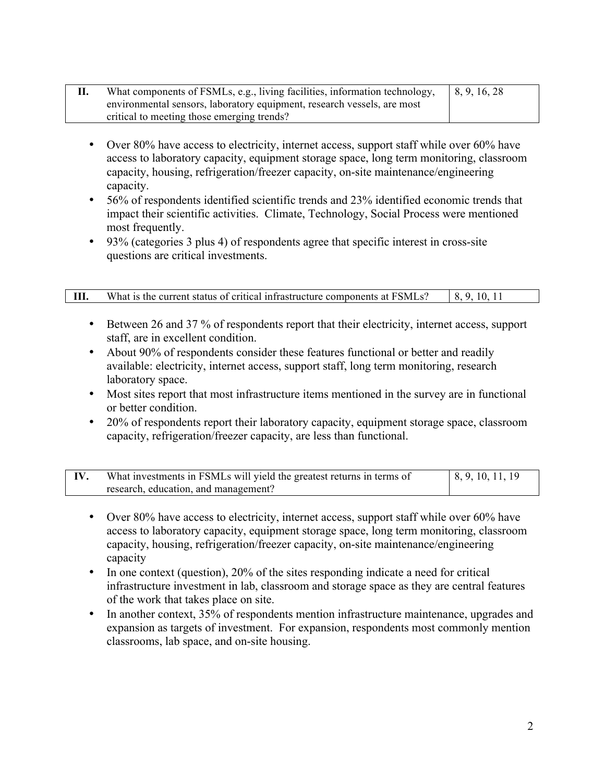| What components of FSMLs, e.g., living facilities, information technology, | 8, 9, 16, 28 |
|----------------------------------------------------------------------------|--------------|
| environmental sensors, laboratory equipment, research vessels, are most    |              |
| critical to meeting those emerging trends?                                 |              |

- Over 80% have access to electricity, internet access, support staff while over 60% have access to laboratory capacity, equipment storage space, long term monitoring, classroom capacity, housing, refrigeration/freezer capacity, on-site maintenance/engineering capacity.
- 56% of respondents identified scientific trends and 23% identified economic trends that impact their scientific activities. Climate, Technology, Social Process were mentioned most frequently.
- 93% (categories 3 plus 4) of respondents agree that specific interest in cross-site questions are critical investments.

| What is the current status of critical infrastructure components at FSMLs? | 10 1 i |
|----------------------------------------------------------------------------|--------|

- Between 26 and 37 % of respondents report that their electricity, internet access, support staff, are in excellent condition.
- About 90% of respondents consider these features functional or better and readily available: electricity, internet access, support staff, long term monitoring, research laboratory space.
- Most sites report that most infrastructure items mentioned in the survey are in functional or better condition.
- 20% of respondents report their laboratory capacity, equipment storage space, classroom capacity, refrigeration/freezer capacity, are less than functional.

| What investments in FSMLs will yield the greatest returns in terms of | $\vert 8, 9, 10, 11, 19 \vert$ |
|-----------------------------------------------------------------------|--------------------------------|
| research, education, and management?                                  |                                |

- Over 80% have access to electricity, internet access, support staff while over 60% have access to laboratory capacity, equipment storage space, long term monitoring, classroom capacity, housing, refrigeration/freezer capacity, on-site maintenance/engineering capacity
- In one context (question), 20% of the sites responding indicate a need for critical infrastructure investment in lab, classroom and storage space as they are central features of the work that takes place on site.
- In another context, 35% of respondents mention infrastructure maintenance, upgrades and expansion as targets of investment. For expansion, respondents most commonly mention classrooms, lab space, and on-site housing.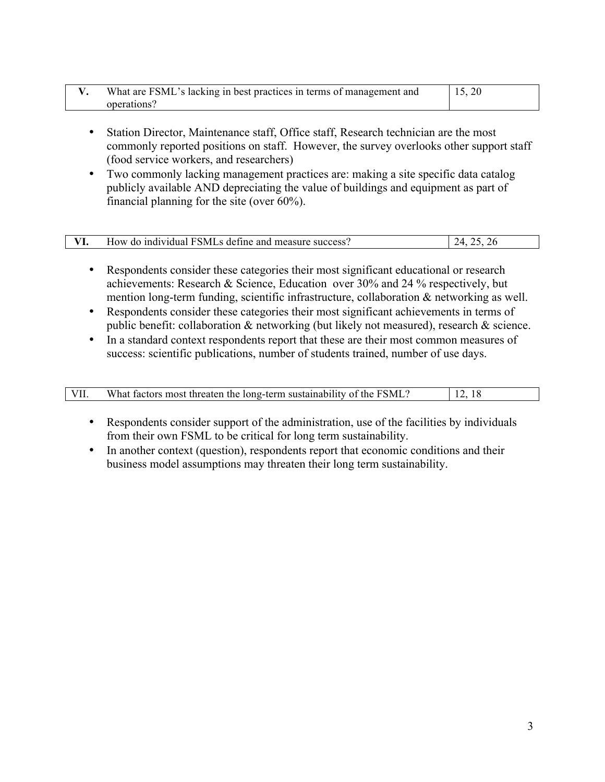| What are FSML's lacking in best practices in terms of management and |  |
|----------------------------------------------------------------------|--|
| operations?                                                          |  |

- Station Director, Maintenance staff, Office staff, Research technician are the most commonly reported positions on staff. However, the survey overlooks other support staff (food service workers, and researchers)
- Two commonly lacking management practices are: making a site specific data catalog publicly available AND depreciating the value of buildings and equipment as part of financial planning for the site (over 60%).

| individual FSMLs define and measure success?<br>How.<br>do | $\sqrt{ }$<br>r |
|------------------------------------------------------------|-----------------|

- Respondents consider these categories their most significant educational or research achievements: Research  $&$  Science, Education over 30% and 24 % respectively, but mention long-term funding, scientific infrastructure, collaboration & networking as well.
- Respondents consider these categories their most significant achievements in terms of public benefit: collaboration & networking (but likely not measured), research & science.
- In a standard context respondents report that these are their most common measures of success: scientific publications, number of students trained, number of use days.

| VII. | What factors most threaten the long-term sustainability of the FSML? |  |
|------|----------------------------------------------------------------------|--|
|      |                                                                      |  |

- Respondents consider support of the administration, use of the facilities by individuals from their own FSML to be critical for long term sustainability.
- In another context (question), respondents report that economic conditions and their business model assumptions may threaten their long term sustainability.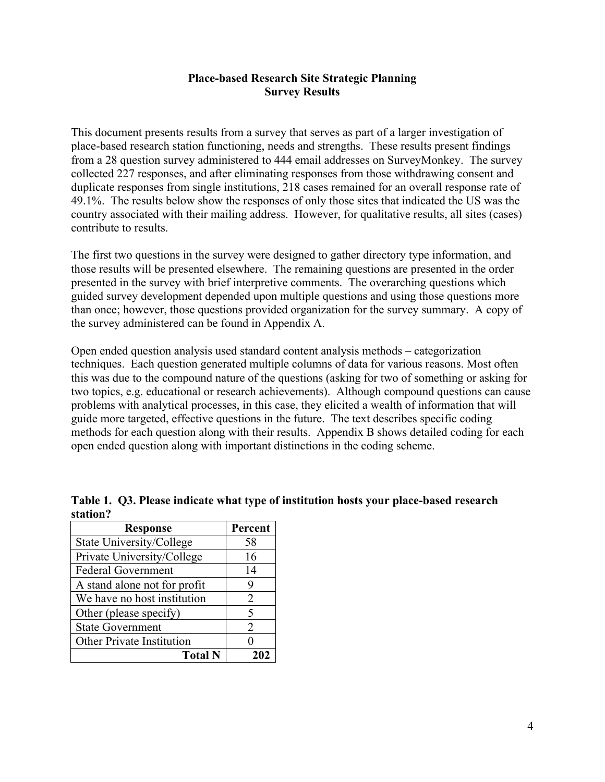### **Place-based Research Site Strategic Planning Survey Results**

This document presents results from a survey that serves as part of a larger investigation of place-based research station functioning, needs and strengths. These results present findings from a 28 question survey administered to 444 email addresses on SurveyMonkey. The survey collected 227 responses, and after eliminating responses from those withdrawing consent and duplicate responses from single institutions, 218 cases remained for an overall response rate of 49.1%. The results below show the responses of only those sites that indicated the US was the country associated with their mailing address. However, for qualitative results, all sites (cases) contribute to results.

The first two questions in the survey were designed to gather directory type information, and those results will be presented elsewhere. The remaining questions are presented in the order presented in the survey with brief interpretive comments. The overarching questions which guided survey development depended upon multiple questions and using those questions more than once; however, those questions provided organization for the survey summary. A copy of the survey administered can be found in Appendix A.

Open ended question analysis used standard content analysis methods – categorization techniques. Each question generated multiple columns of data for various reasons. Most often this was due to the compound nature of the questions (asking for two of something or asking for two topics, e.g. educational or research achievements). Although compound questions can cause problems with analytical processes, in this case, they elicited a wealth of information that will guide more targeted, effective questions in the future. The text describes specific coding methods for each question along with their results. Appendix B shows detailed coding for each open ended question along with important distinctions in the coding scheme.

| <b>Response</b>                  | Percent        |
|----------------------------------|----------------|
| State University/College         | 58             |
| Private University/College       | 16             |
| <b>Federal Government</b>        | 14             |
| A stand alone not for profit     | 9              |
| We have no host institution      | $\overline{2}$ |
| Other (please specify)           | 5              |
| <b>State Government</b>          | 2              |
| <b>Other Private Institution</b> | 0              |
| <b>Total N</b>                   |                |

**Table 1. Q3. Please indicate what type of institution hosts your place-based research station?**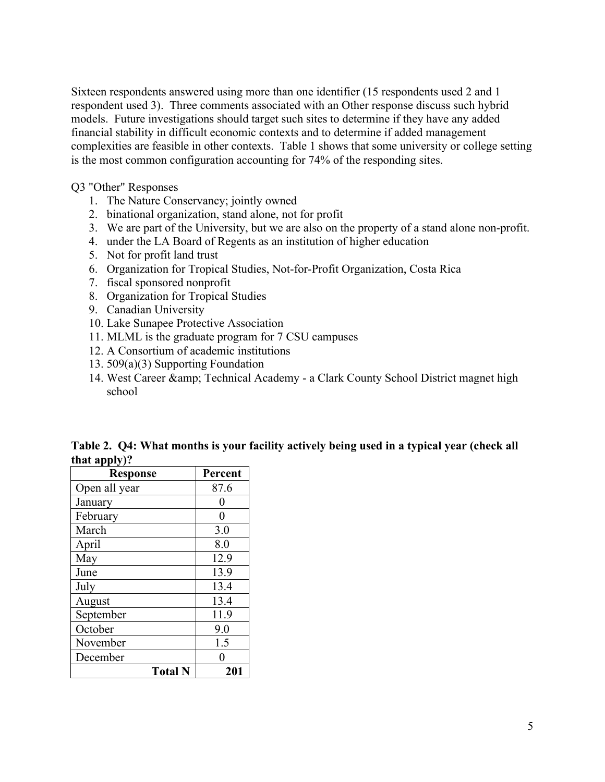Sixteen respondents answered using more than one identifier (15 respondents used 2 and 1 respondent used 3). Three comments associated with an Other response discuss such hybrid models. Future investigations should target such sites to determine if they have any added financial stability in difficult economic contexts and to determine if added management complexities are feasible in other contexts. Table 1 shows that some university or college setting is the most common configuration accounting for 74% of the responding sites.

Q3 "Other" Responses

- 1. The Nature Conservancy; jointly owned
- 2. binational organization, stand alone, not for profit
- 3. We are part of the University, but we are also on the property of a stand alone non-profit.
- 4. under the LA Board of Regents as an institution of higher education
- 5. Not for profit land trust
- 6. Organization for Tropical Studies, Not-for-Profit Organization, Costa Rica
- 7. fiscal sponsored nonprofit
- 8. Organization for Tropical Studies
- 9. Canadian University
- 10. Lake Sunapee Protective Association
- 11. MLML is the graduate program for 7 CSU campuses
- 12. A Consortium of academic institutions
- 13. 509(a)(3) Supporting Foundation
- 14. West Career & amp; Technical Academy a Clark County School District magnet high school

**Table 2. Q4: What months is your facility actively being used in a typical year (check all that apply)?**

| <b>Response</b> | Percent |
|-----------------|---------|
| Open all year   | 87.6    |
| January         | 0       |
| February        | 0       |
| March           | 3.0     |
| April           | 8.0     |
| May             | 12.9    |
| June            | 13.9    |
| July            | 13.4    |
| August          | 13.4    |
| September       | 11.9    |
| October         | 9.0     |
| November        | 1.5     |
| December        |         |
| <b>Total N</b>  | 201     |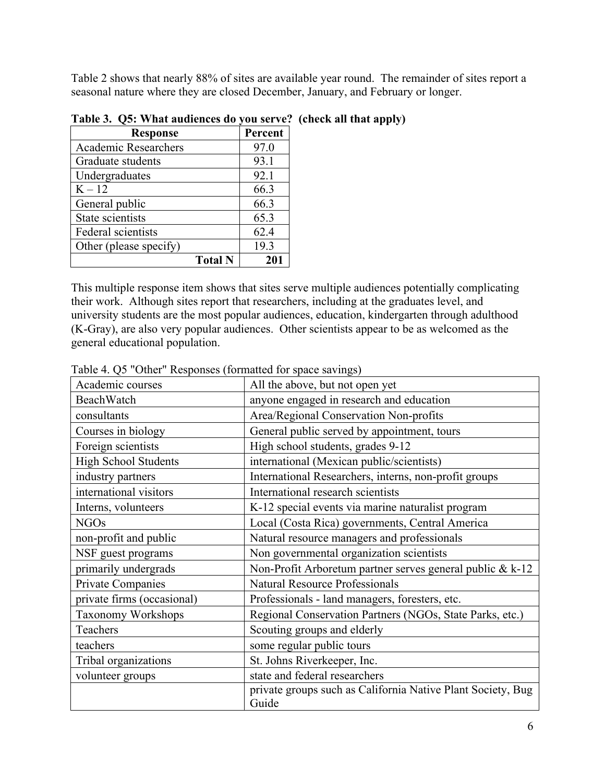Table 2 shows that nearly 88% of sites are available year round. The remainder of sites report a seasonal nature where they are closed December, January, and February or longer.

| <b>Response</b>             | Percent |
|-----------------------------|---------|
| <b>Academic Researchers</b> | 97.0    |
| Graduate students           | 93.1    |
| Undergraduates              | 92.1    |
| $K - 12$                    | 66.3    |
| General public              | 66.3    |
| State scientists            | 65.3    |
| Federal scientists          | 62.4    |
| Other (please specify)      | 19.3    |
| <b>Total N</b>              | 201     |

**Table 3. Q5: What audiences do you serve? (check all that apply)**

This multiple response item shows that sites serve multiple audiences potentially complicating their work. Although sites report that researchers, including at the graduates level, and university students are the most popular audiences, education, kindergarten through adulthood (K-Gray), are also very popular audiences. Other scientists appear to be as welcomed as the general educational population.

| Academic courses            | All the above, but not open yet                                      |
|-----------------------------|----------------------------------------------------------------------|
| BeachWatch                  | anyone engaged in research and education                             |
| consultants                 | Area/Regional Conservation Non-profits                               |
| Courses in biology          | General public served by appointment, tours                          |
| Foreign scientists          | High school students, grades 9-12                                    |
| <b>High School Students</b> | international (Mexican public/scientists)                            |
| industry partners           | International Researchers, interns, non-profit groups                |
| international visitors      | International research scientists                                    |
| Interns, volunteers         | K-12 special events via marine naturalist program                    |
| <b>NGOs</b>                 | Local (Costa Rica) governments, Central America                      |
| non-profit and public       | Natural resource managers and professionals                          |
| NSF guest programs          | Non governmental organization scientists                             |
| primarily undergrads        | Non-Profit Arboretum partner serves general public & k-12            |
| Private Companies           | <b>Natural Resource Professionals</b>                                |
| private firms (occasional)  | Professionals - land managers, foresters, etc.                       |
| <b>Taxonomy Workshops</b>   | Regional Conservation Partners (NGOs, State Parks, etc.)             |
| Teachers                    | Scouting groups and elderly                                          |
| teachers                    | some regular public tours                                            |
| Tribal organizations        | St. Johns Riverkeeper, Inc.                                          |
| volunteer groups            | state and federal researchers                                        |
|                             | private groups such as California Native Plant Society, Bug<br>Guide |

Table 4. Q5 "Other" Responses (formatted for space savings)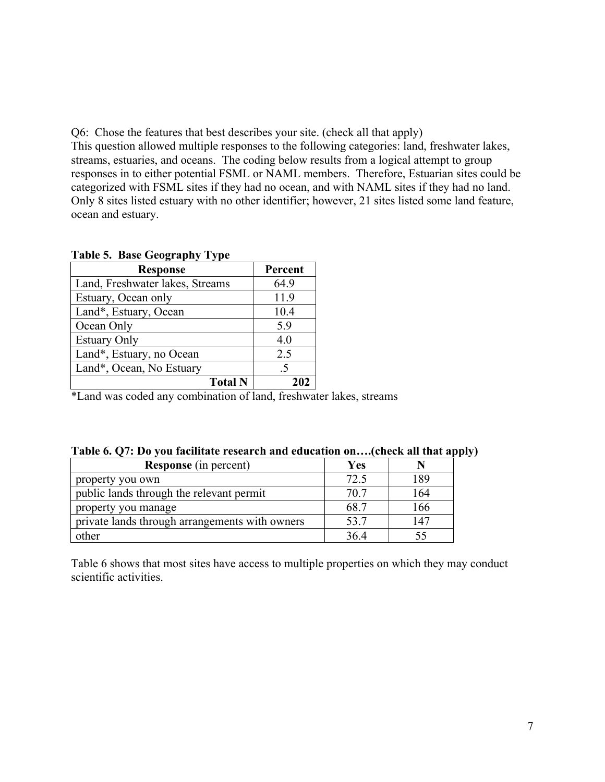Q6: Chose the features that best describes your site. (check all that apply) This question allowed multiple responses to the following categories: land, freshwater lakes, streams, estuaries, and oceans. The coding below results from a logical attempt to group responses in to either potential FSML or NAML members. Therefore, Estuarian sites could be categorized with FSML sites if they had no ocean, and with NAML sites if they had no land. Only 8 sites listed estuary with no other identifier; however, 21 sites listed some land feature, ocean and estuary.

| <b>Response</b>                 | Percent |
|---------------------------------|---------|
| Land, Freshwater lakes, Streams | 64.9    |
| Estuary, Ocean only             | 11.9    |
| Land*, Estuary, Ocean           | 10.4    |
| Ocean Only                      | 5.9     |
| <b>Estuary Only</b>             | 4.0     |
| Land*, Estuary, no Ocean        | 2.5     |
| Land*, Ocean, No Estuary        | $.5\,$  |
| <b>Total N</b>                  | 202     |

|  |  |  | <b>Table 5. Base Geography Type</b> |  |
|--|--|--|-------------------------------------|--|
|--|--|--|-------------------------------------|--|

\*Land was coded any combination of land, freshwater lakes, streams

|  | Table 6. Q7: Do you facilitate research and education on(check all that apply) |  |  |
|--|--------------------------------------------------------------------------------|--|--|
|  |                                                                                |  |  |

| <b>Response</b> (in percent)                   | Yes  |     |
|------------------------------------------------|------|-----|
| property you own                               | 72.5 | 189 |
| public lands through the relevant permit       | 70.7 | 164 |
| property you manage                            | 68.7 | 166 |
| private lands through arrangements with owners | 53.7 | 147 |
| other                                          | 36.4 |     |

Table 6 shows that most sites have access to multiple properties on which they may conduct scientific activities.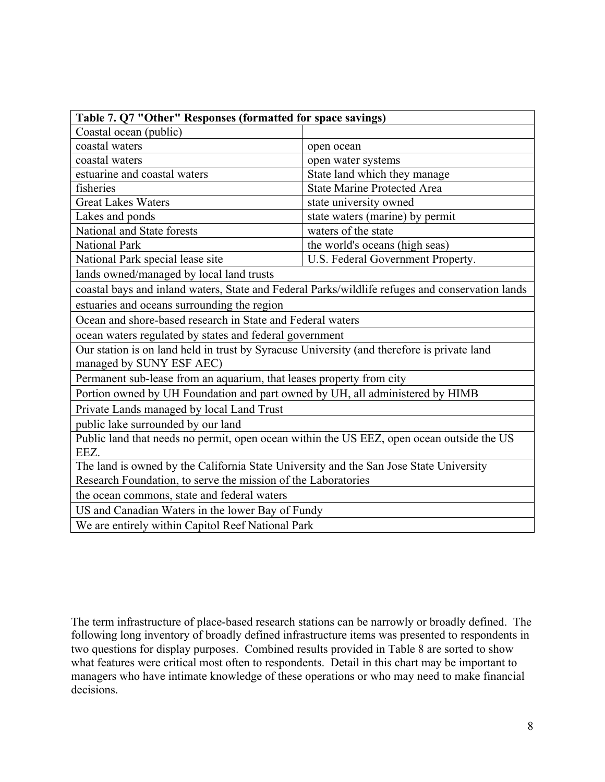| Table 7. Q7 "Other" Responses (formatted for space savings)                                                            |                                                                                                 |  |  |  |  |
|------------------------------------------------------------------------------------------------------------------------|-------------------------------------------------------------------------------------------------|--|--|--|--|
| Coastal ocean (public)                                                                                                 |                                                                                                 |  |  |  |  |
| coastal waters                                                                                                         | open ocean                                                                                      |  |  |  |  |
| coastal waters                                                                                                         | open water systems                                                                              |  |  |  |  |
| estuarine and coastal waters                                                                                           | State land which they manage                                                                    |  |  |  |  |
| <b>State Marine Protected Area</b><br>fisheries                                                                        |                                                                                                 |  |  |  |  |
| <b>Great Lakes Waters</b><br>state university owned                                                                    |                                                                                                 |  |  |  |  |
| Lakes and ponds                                                                                                        | state waters (marine) by permit                                                                 |  |  |  |  |
| National and State forests                                                                                             | waters of the state                                                                             |  |  |  |  |
| <b>National Park</b><br>the world's oceans (high seas)                                                                 |                                                                                                 |  |  |  |  |
| U.S. Federal Government Property.<br>National Park special lease site                                                  |                                                                                                 |  |  |  |  |
| lands owned/managed by local land trusts                                                                               |                                                                                                 |  |  |  |  |
|                                                                                                                        | coastal bays and inland waters, State and Federal Parks/wildlife refuges and conservation lands |  |  |  |  |
| estuaries and oceans surrounding the region                                                                            |                                                                                                 |  |  |  |  |
| Ocean and shore-based research in State and Federal waters                                                             |                                                                                                 |  |  |  |  |
| ocean waters regulated by states and federal government                                                                |                                                                                                 |  |  |  |  |
| Our station is on land held in trust by Syracuse University (and therefore is private land<br>managed by SUNY ESF AEC) |                                                                                                 |  |  |  |  |
| Permanent sub-lease from an aquarium, that leases property from city                                                   |                                                                                                 |  |  |  |  |
| Portion owned by UH Foundation and part owned by UH, all administered by HIMB                                          |                                                                                                 |  |  |  |  |
| Private Lands managed by local Land Trust                                                                              |                                                                                                 |  |  |  |  |
| public lake surrounded by our land                                                                                     |                                                                                                 |  |  |  |  |
| Public land that needs no permit, open ocean within the US EEZ, open ocean outside the US                              |                                                                                                 |  |  |  |  |
| EEZ.                                                                                                                   |                                                                                                 |  |  |  |  |
| The land is owned by the California State University and the San Jose State University                                 |                                                                                                 |  |  |  |  |
| Research Foundation, to serve the mission of the Laboratories                                                          |                                                                                                 |  |  |  |  |
| the ocean commons, state and federal waters                                                                            |                                                                                                 |  |  |  |  |
| US and Canadian Waters in the lower Bay of Fundy                                                                       |                                                                                                 |  |  |  |  |
| We are entirely within Capitol Reef National Park                                                                      |                                                                                                 |  |  |  |  |

The term infrastructure of place-based research stations can be narrowly or broadly defined. The following long inventory of broadly defined infrastructure items was presented to respondents in two questions for display purposes. Combined results provided in Table 8 are sorted to show what features were critical most often to respondents. Detail in this chart may be important to managers who have intimate knowledge of these operations or who may need to make financial decisions.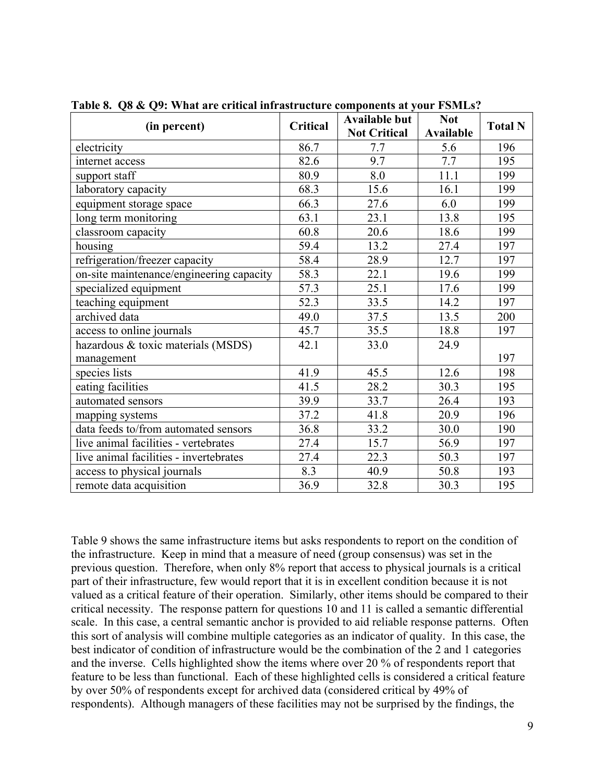| (in percent)                             | Critical | <b>Available but</b><br><b>Not Critical</b> | <b>Not</b><br><b>Available</b> | <b>Total N</b> |
|------------------------------------------|----------|---------------------------------------------|--------------------------------|----------------|
| electricity                              | 86.7     | 7.7                                         | 5.6                            | 196            |
| internet access                          | 82.6     | 9.7                                         | 7.7                            | 195            |
| support staff                            | 80.9     | 8.0                                         | 11.1                           | 199            |
| laboratory capacity                      | 68.3     | 15.6                                        | 16.1                           | 199            |
| equipment storage space                  | 66.3     | 27.6                                        | 6.0                            | 199            |
| long term monitoring                     | 63.1     | 23.1                                        | 13.8                           | 195            |
| classroom capacity                       | 60.8     | 20.6                                        | 18.6                           | 199            |
| housing                                  | 59.4     | 13.2                                        | 27.4                           | 197            |
| refrigeration/freezer capacity           | 58.4     | 28.9                                        | 12.7                           | 197            |
| on-site maintenance/engineering capacity | 58.3     | 22.1                                        | 19.6                           | 199            |
| specialized equipment                    | 57.3     | 25.1                                        | 17.6                           | 199            |
| teaching equipment                       | 52.3     | 33.5                                        | 14.2                           | 197            |
| archived data                            | 49.0     | 37.5                                        | 13.5                           | 200            |
| access to online journals                | 45.7     | 35.5                                        | 18.8                           | 197            |
| hazardous & toxic materials (MSDS)       | 42.1     | 33.0                                        | 24.9                           |                |
| management                               |          |                                             |                                | 197            |
| species lists                            | 41.9     | 45.5                                        | 12.6                           | 198            |
| eating facilities                        | 41.5     | 28.2                                        | 30.3                           | 195            |
| automated sensors                        | 39.9     | 33.7                                        | 26.4                           | 193            |
| mapping systems                          | 37.2     | 41.8                                        | 20.9                           | 196            |
| data feeds to/from automated sensors     | 36.8     | 33.2                                        | 30.0                           | 190            |
| live animal facilities - vertebrates     | 27.4     | 15.7                                        | 56.9                           | 197            |
| live animal facilities - invertebrates   | 27.4     | 22.3                                        | 50.3                           | 197            |
| access to physical journals              | 8.3      | 40.9                                        | 50.8                           | 193            |
| remote data acquisition                  | 36.9     | 32.8                                        | 30.3                           | 195            |

**Table 8. Q8 & Q9: What are critical infrastructure components at your FSMLs?**

Table 9 shows the same infrastructure items but asks respondents to report on the condition of the infrastructure. Keep in mind that a measure of need (group consensus) was set in the previous question. Therefore, when only 8% report that access to physical journals is a critical part of their infrastructure, few would report that it is in excellent condition because it is not valued as a critical feature of their operation. Similarly, other items should be compared to their critical necessity. The response pattern for questions 10 and 11 is called a semantic differential scale. In this case, a central semantic anchor is provided to aid reliable response patterns. Often this sort of analysis will combine multiple categories as an indicator of quality. In this case, the best indicator of condition of infrastructure would be the combination of the 2 and 1 categories and the inverse. Cells highlighted show the items where over 20 % of respondents report that feature to be less than functional. Each of these highlighted cells is considered a critical feature by over 50% of respondents except for archived data (considered critical by 49% of respondents). Although managers of these facilities may not be surprised by the findings, the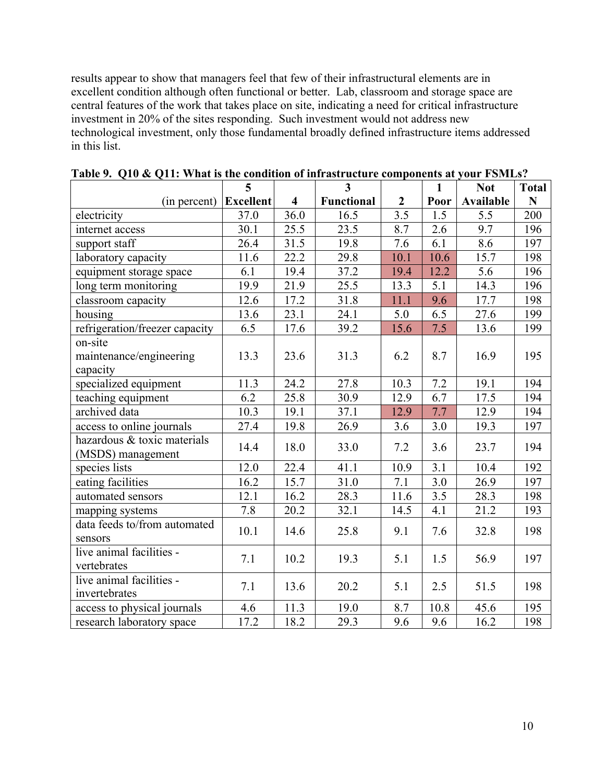results appear to show that managers feel that few of their infrastructural elements are in excellent condition although often functional or better. Lab, classroom and storage space are central features of the work that takes place on site, indicating a need for critical infrastructure investment in 20% of the sites responding. Such investment would not address new technological investment, only those fundamental broadly defined infrastructure items addressed in this list.

|                                                  | 5                 |      | $\mathbf{3}$      |                | $\mathbf{1}$ | <b>Not</b> | <b>Total</b> |
|--------------------------------------------------|-------------------|------|-------------------|----------------|--------------|------------|--------------|
| (in percent)                                     | <b>Excellent</b>  | 4    | <b>Functional</b> | $\overline{2}$ | Poor         | Available  | N            |
| electricity                                      | 37.0              | 36.0 | 16.5              | 3.5            | 1.5          | 5.5        | 200          |
| internet access                                  | 30.1              | 25.5 | 23.5              | 8.7            | 2.6          | 9.7        | 196          |
| support staff                                    | 26.4              | 31.5 | 19.8              | 7.6            | 6.1          | 8.6        | 197          |
| laboratory capacity                              | 11.6              | 22.2 | 29.8              | 10.1           | 10.6         | 15.7       | 198          |
| equipment storage space                          | 6.1               | 19.4 | 37.2              | 19.4           | 12.2         | 5.6        | 196          |
| long term monitoring                             | 19.9              | 21.9 | 25.5              | 13.3           | 5.1          | 14.3       | 196          |
| classroom capacity                               | $\overline{12.6}$ | 17.2 | 31.8              | 11.1           | 9.6          | 17.7       | 198          |
| housing                                          | 13.6              | 23.1 | 24.1              | 5.0            | 6.5          | 27.6       | 199          |
| refrigeration/freezer capacity                   | 6.5               | 17.6 | 39.2              | 15.6           | 7.5          | 13.6       | 199          |
| on-site<br>maintenance/engineering<br>capacity   | 13.3              | 23.6 | 31.3              | 6.2            | 8.7          | 16.9       | 195          |
| specialized equipment                            | 11.3              | 24.2 | 27.8              | 10.3           | 7.2          | 19.1       | 194          |
| teaching equipment                               | 6.2               | 25.8 | 30.9              | 12.9           | 6.7          | 17.5       | 194          |
| archived data                                    | 10.3              | 19.1 | 37.1              | 12.9           | 7.7          | 12.9       | 194          |
| access to online journals                        | 27.4              | 19.8 | 26.9              | 3.6            | $3.0\,$      | 19.3       | 197          |
| hazardous & toxic materials<br>(MSDS) management | 14.4              | 18.0 | 33.0              | 7.2            | 3.6          | 23.7       | 194          |
| species lists                                    | 12.0              | 22.4 | 41.1              | 10.9           | 3.1          | 10.4       | 192          |
| eating facilities                                | 16.2              | 15.7 | 31.0              | 7.1            | 3.0          | 26.9       | 197          |
| automated sensors                                | 12.1              | 16.2 | 28.3              | 11.6           | 3.5          | 28.3       | 198          |
| mapping systems                                  | 7.8               | 20.2 | 32.1              | 14.5           | 4.1          | 21.2       | 193          |
| data feeds to/from automated<br>sensors          | 10.1              | 14.6 | 25.8              | 9.1            | 7.6          | 32.8       | 198          |
| live animal facilities -<br>vertebrates          | 7.1               | 10.2 | 19.3              | 5.1            | 1.5          | 56.9       | 197          |
| live animal facilities -<br>invertebrates        | 7.1               | 13.6 | 20.2              | 5.1            | 2.5          | 51.5       | 198          |
| access to physical journals                      | 4.6               | 11.3 | 19.0              | 8.7            | 10.8         | 45.6       | 195          |
| research laboratory space                        | 17.2              | 18.2 | 29.3              | 9.6            | 9.6          | 16.2       | 198          |

| Table 9. Q10 & Q11: What is the condition of infrastructure components at your FSMLs? |  |  |  |  |  |  |
|---------------------------------------------------------------------------------------|--|--|--|--|--|--|
|---------------------------------------------------------------------------------------|--|--|--|--|--|--|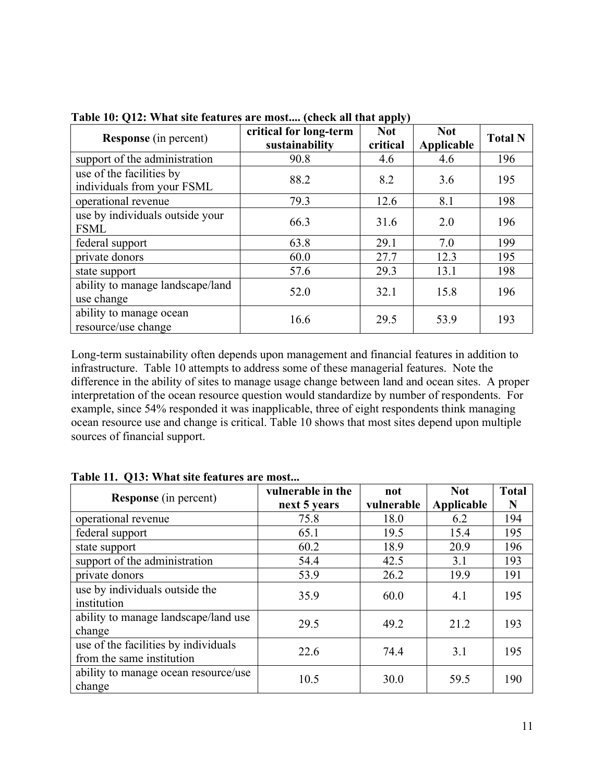| <b>Response</b> (in percent)                           | critical for long-term<br>sustainability | $\mathbf{r}$ or $\mathbf{r}$<br><b>Not</b><br>critical | <b>Not</b><br>Applicable | <b>Total N</b> |
|--------------------------------------------------------|------------------------------------------|--------------------------------------------------------|--------------------------|----------------|
| support of the administration                          | 90.8                                     | 4.6                                                    | 4.6                      | 196            |
| use of the facilities by<br>individuals from your FSML | 88.2                                     | 8.2                                                    | 3.6                      | 195            |
| operational revenue                                    | 79.3                                     | 12.6                                                   | 8.1                      | 198            |
| use by individuals outside your<br><b>FSML</b>         | 66.3                                     | 31.6                                                   | 2.0                      | 196            |
| federal support                                        | 63.8                                     | 29.1                                                   | 7.0                      | 199            |
| private donors                                         | 60.0                                     | 27.7                                                   | 12.3                     | 195            |
| state support                                          | 57.6                                     | 29.3                                                   | 13.1                     | 198            |
| ability to manage landscape/land<br>use change         | 52.0                                     | 32.1                                                   | 15.8                     | 196            |
| ability to manage ocean<br>resource/use change         | 16.6                                     | 29.5                                                   | 53.9                     | 193            |

**Table 10: Q12: What site features are most.... (check all that apply)**

Long-term sustainability often depends upon management and financial features in addition to infrastructure. Table 10 attempts to address some of these managerial features. Note the difference in the ability of sites to manage usage change between land and ocean sites. A proper interpretation of the ocean resource question would standardize by number of respondents. For example, since 54% responded it was inapplicable, three of eight respondents think managing ocean resource use and change is critical. Table 10 shows that most sites depend upon multiple sources of financial support.

| <b>Response</b> (in percent)                                      | vulnerable in the<br>next 5 years | not<br>vulnerable | <b>Not</b><br>Applicable | <b>Total</b><br>N |
|-------------------------------------------------------------------|-----------------------------------|-------------------|--------------------------|-------------------|
| operational revenue                                               | 75.8                              | 18.0              | 6.2                      | 194               |
| federal support                                                   | 65.1                              | 19.5              | 15.4                     | 195               |
| state support                                                     | 60.2                              | 18.9              | 20.9                     | 196               |
| support of the administration                                     | 54.4                              | 42.5              | 3.1                      | 193               |
| private donors                                                    | 53.9                              | 26.2              | 19.9                     | 191               |
| use by individuals outside the<br>institution                     | 35.9                              | 60.0              | 4.1                      | 195               |
| ability to manage landscape/land use<br>change                    | 29.5                              | 49.2              | 21.2                     | 193               |
| use of the facilities by individuals<br>from the same institution | 22.6                              | 74.4              | 3.1                      | 195               |
| ability to manage ocean resource/use<br>change                    | 10.5                              | 30.0              | 59.5                     | 190               |

**Table 11. Q13: What site features are most...**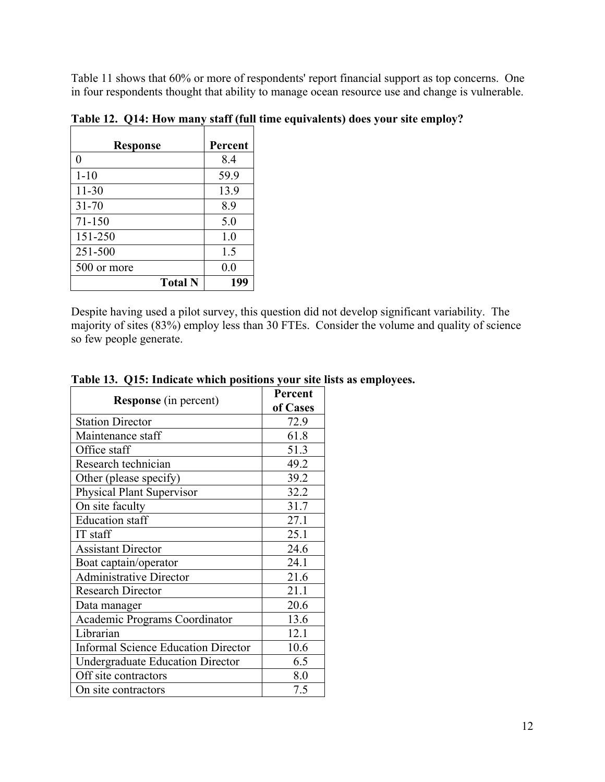Table 11 shows that 60% or more of respondents' report financial support as top concerns. One in four respondents thought that ability to manage ocean resource use and change is vulnerable.

| <b>Response</b> | Percent |
|-----------------|---------|
| 0               | 8.4     |
| $1 - 10$        | 59.9    |
| $11 - 30$       | 13.9    |
| $31 - 70$       | 8.9     |
| 71-150          | 5.0     |
| 151-250         | 1.0     |
| 251-500         | 1.5     |
| 500 or more     | 0.0     |
| <b>Total N</b>  | 199     |

**Table 12. Q14: How many staff (full time equivalents) does your site employ?**

Despite having used a pilot survey, this question did not develop significant variability. The majority of sites (83%) employ less than 30 FTEs. Consider the volume and quality of science so few people generate.

|                                            | Percent  |
|--------------------------------------------|----------|
| <b>Response</b> (in percent)               | of Cases |
| <b>Station Director</b>                    | 72.9     |
| Maintenance staff                          | 61.8     |
| Office staff                               | 51.3     |
| Research technician                        | 49.2     |
| Other (please specify)                     | 39.2     |
| <b>Physical Plant Supervisor</b>           | 32.2     |
| On site faculty                            | 31.7     |
| <b>Education</b> staff                     | 27.1     |
| IT staff                                   | 25.1     |
| <b>Assistant Director</b>                  | 24.6     |
| Boat captain/operator                      | 24.1     |
| <b>Administrative Director</b>             | 21.6     |
| <b>Research Director</b>                   | 21.1     |
| Data manager                               | 20.6     |
| Academic Programs Coordinator              | 13.6     |
| Librarian                                  | 12.1     |
| <b>Informal Science Education Director</b> | 10.6     |
| <b>Undergraduate Education Director</b>    | 6.5      |
| Off site contractors                       | 8.0      |
| On site contractors                        | 7.5      |

#### **Table 13. Q15: Indicate which positions your site lists as employees.**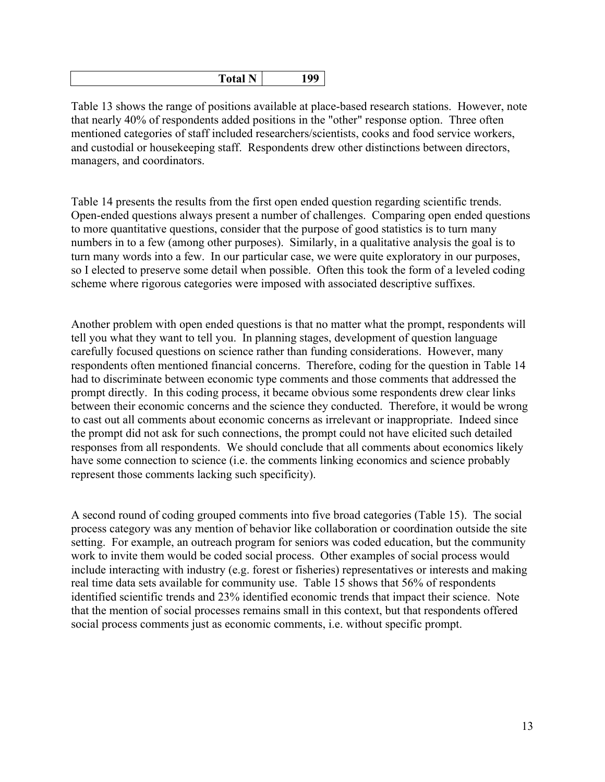| 5.4.1<br>я<br>$\sim$ $\sim$ $\sim$ | <b>NT</b><br>ω0 |
|------------------------------------|-----------------|
|                                    |                 |

Table 13 shows the range of positions available at place-based research stations. However, note that nearly 40% of respondents added positions in the "other" response option. Three often mentioned categories of staff included researchers/scientists, cooks and food service workers, and custodial or housekeeping staff. Respondents drew other distinctions between directors, managers, and coordinators.

Table 14 presents the results from the first open ended question regarding scientific trends. Open-ended questions always present a number of challenges. Comparing open ended questions to more quantitative questions, consider that the purpose of good statistics is to turn many numbers in to a few (among other purposes). Similarly, in a qualitative analysis the goal is to turn many words into a few. In our particular case, we were quite exploratory in our purposes, so I elected to preserve some detail when possible. Often this took the form of a leveled coding scheme where rigorous categories were imposed with associated descriptive suffixes.

Another problem with open ended questions is that no matter what the prompt, respondents will tell you what they want to tell you. In planning stages, development of question language carefully focused questions on science rather than funding considerations. However, many respondents often mentioned financial concerns. Therefore, coding for the question in Table 14 had to discriminate between economic type comments and those comments that addressed the prompt directly. In this coding process, it became obvious some respondents drew clear links between their economic concerns and the science they conducted. Therefore, it would be wrong to cast out all comments about economic concerns as irrelevant or inappropriate. Indeed since the prompt did not ask for such connections, the prompt could not have elicited such detailed responses from all respondents. We should conclude that all comments about economics likely have some connection to science (i.e. the comments linking economics and science probably represent those comments lacking such specificity).

A second round of coding grouped comments into five broad categories (Table 15). The social process category was any mention of behavior like collaboration or coordination outside the site setting. For example, an outreach program for seniors was coded education, but the community work to invite them would be coded social process. Other examples of social process would include interacting with industry (e.g. forest or fisheries) representatives or interests and making real time data sets available for community use. Table 15 shows that 56% of respondents identified scientific trends and 23% identified economic trends that impact their science. Note that the mention of social processes remains small in this context, but that respondents offered social process comments just as economic comments, i.e. without specific prompt.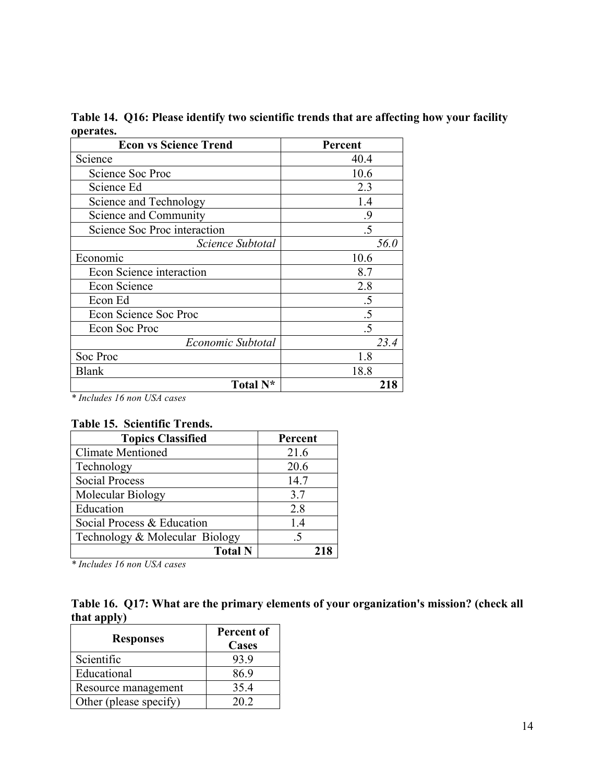| <b>Econ vs Science Trend</b> | Percent         |
|------------------------------|-----------------|
| Science                      | 40.4            |
| Science Soc Proc             | 10.6            |
| Science Ed                   | 2.3             |
| Science and Technology       | 1.4             |
| Science and Community        | .9              |
| Science Soc Proc interaction | .5              |
| Science Subtotal             | 56.0            |
| Economic                     | 10.6            |
| Econ Science interaction     | 8.7             |
| Econ Science                 | 2.8             |
| Econ Ed                      | .5              |
| Econ Science Soc Proc        | .5              |
| Econ Soc Proc                | $\overline{.5}$ |
| Economic Subtotal            | 23.4            |
| Soc Proc                     | 1.8             |
| <b>Blank</b>                 | 18.8            |
| Total N <sup>*</sup>         | 218             |

**Table 14. Q16: Please identify two scientific trends that are affecting how your facility operates.**

*\* Includes 16 non USA cases*

# **Table 15. Scientific Trends.**

| <b>Topics Classified</b>       | Percent |
|--------------------------------|---------|
| <b>Climate Mentioned</b>       | 21.6    |
| Technology                     | 20.6    |
| <b>Social Process</b>          | 14.7    |
| Molecular Biology              | 3.7     |
| Education                      | 2.8     |
| Social Process & Education     | 1.4     |
| Technology & Molecular Biology | .5      |
| <b>Total N</b>                 |         |

*\* Includes 16 non USA cases*

|             | Table 16. Q17: What are the primary elements of your organization's mission? (check all |  |
|-------------|-----------------------------------------------------------------------------------------|--|
| that apply) |                                                                                         |  |

| <b>Responses</b>       | Percent of<br><b>Cases</b> |
|------------------------|----------------------------|
| Scientific             | 93.9                       |
| Educational            | 86.9                       |
| Resource management    | 35.4                       |
| Other (please specify) | 20.2                       |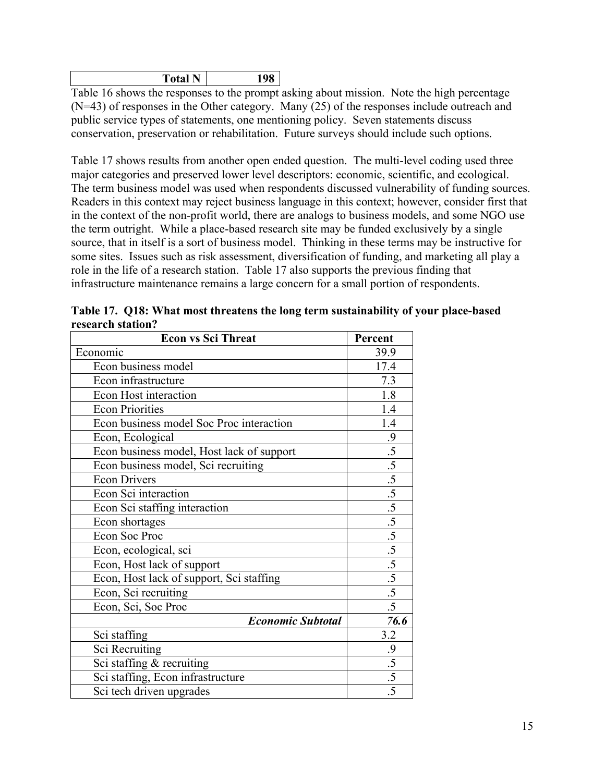| N<br>Total | 10C |
|------------|-----|
| <b>.</b>   |     |

Table 16 shows the responses to the prompt asking about mission. Note the high percentage (N=43) of responses in the Other category. Many (25) of the responses include outreach and public service types of statements, one mentioning policy. Seven statements discuss conservation, preservation or rehabilitation. Future surveys should include such options.

Table 17 shows results from another open ended question. The multi-level coding used three major categories and preserved lower level descriptors: economic, scientific, and ecological. The term business model was used when respondents discussed vulnerability of funding sources. Readers in this context may reject business language in this context; however, consider first that in the context of the non-profit world, there are analogs to business models, and some NGO use the term outright. While a place-based research site may be funded exclusively by a single source, that in itself is a sort of business model. Thinking in these terms may be instructive for some sites. Issues such as risk assessment, diversification of funding, and marketing all play a role in the life of a research station. Table 17 also supports the previous finding that infrastructure maintenance remains a large concern for a small portion of respondents.

| Table 17. Q18: What most threatens the long term sustainability of your place-based |         |  |
|-------------------------------------------------------------------------------------|---------|--|
| research station?                                                                   |         |  |
| <b>Econ vs Sci Threat</b>                                                           | Percent |  |

| <b>Econ vs Sci Threat</b>                 | Percent         |
|-------------------------------------------|-----------------|
| Economic                                  | 39.9            |
| Econ business model                       | 17.4            |
| Econ infrastructure                       | 7.3             |
| Econ Host interaction                     | 1.8             |
| <b>Econ Priorities</b>                    | 1.4             |
| Econ business model Soc Proc interaction  | 1.4             |
| Econ, Ecological                          | .9              |
| Econ business model, Host lack of support | $\overline{.5}$ |
| Econ business model, Sci recruiting       | $\overline{.5}$ |
| <b>Econ Drivers</b>                       | $\overline{.5}$ |
| Econ Sci interaction                      | $\frac{.5}{.5}$ |
| Econ Sci staffing interaction             |                 |
| Econ shortages                            | $\overline{.5}$ |
| Econ Soc Proc                             | $\overline{.5}$ |
| Econ, ecological, sci                     | $\overline{.5}$ |
| Econ, Host lack of support                | $\overline{.5}$ |
| Econ, Host lack of support, Sci staffing  | $\overline{.5}$ |
| Econ, Sci recruiting                      | $\overline{.5}$ |
| Econ, Sci, Soc Proc                       | $\overline{.5}$ |
| <b>Economic Subtotal</b>                  | 76.6            |
| Sci staffing                              | 3.2             |
| Sci Recruiting                            | $\cdot$         |
| Sci staffing & recruiting                 | $\overline{.5}$ |
| Sci staffing, Econ infrastructure         | .5              |
| Sci tech driven upgrades                  | .5              |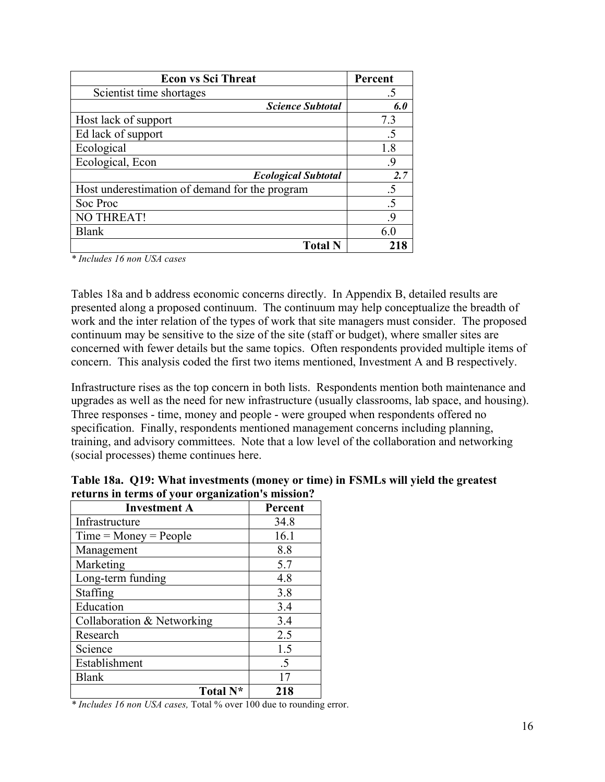| <b>Econ vs Sci Threat</b>                      | Percent |
|------------------------------------------------|---------|
| Scientist time shortages                       | .5      |
| <b>Science Subtotal</b>                        | 6.0     |
| Host lack of support                           | 7.3     |
| Ed lack of support                             | .5      |
| Ecological                                     | 1.8     |
| Ecological, Econ                               | -9      |
| <b>Ecological Subtotal</b>                     | 2.7     |
| Host underestimation of demand for the program | .5      |
| Soc Proc                                       | .5      |
| <b>NO THREAT!</b>                              | -9      |
| <b>Blank</b>                                   | 60      |
| <b>Total N</b>                                 |         |

*\* Includes 16 non USA cases*

Tables 18a and b address economic concerns directly. In Appendix B, detailed results are presented along a proposed continuum. The continuum may help conceptualize the breadth of work and the inter relation of the types of work that site managers must consider. The proposed continuum may be sensitive to the size of the site (staff or budget), where smaller sites are concerned with fewer details but the same topics. Often respondents provided multiple items of concern. This analysis coded the first two items mentioned, Investment A and B respectively.

Infrastructure rises as the top concern in both lists. Respondents mention both maintenance and upgrades as well as the need for new infrastructure (usually classrooms, lab space, and housing). Three responses - time, money and people - were grouped when respondents offered no specification. Finally, respondents mentioned management concerns including planning, training, and advisory committees. Note that a low level of the collaboration and networking (social processes) theme continues here.

| <b>Investment A</b>        | Percent    |
|----------------------------|------------|
| Infrastructure             | 34.8       |
| $Time = Money = People$    | 16.1       |
| Management                 | 8.8        |
| Marketing                  | 5.7        |
| Long-term funding          | 4.8        |
| Staffing                   | 3.8        |
| Education                  | 3.4        |
| Collaboration & Networking | 3.4        |
| Research                   | 2.5        |
| Science                    | 1.5        |
| Establishment              | $\cdot$ .5 |
| <b>Blank</b>               | 17         |
| Total N <sup>*</sup>       | 218        |

**Table 18a. Q19: What investments (money or time) in FSMLs will yield the greatest returns in terms of your organization's mission?**

*\* Includes 16 non USA cases,* Total % over 100 due to rounding error.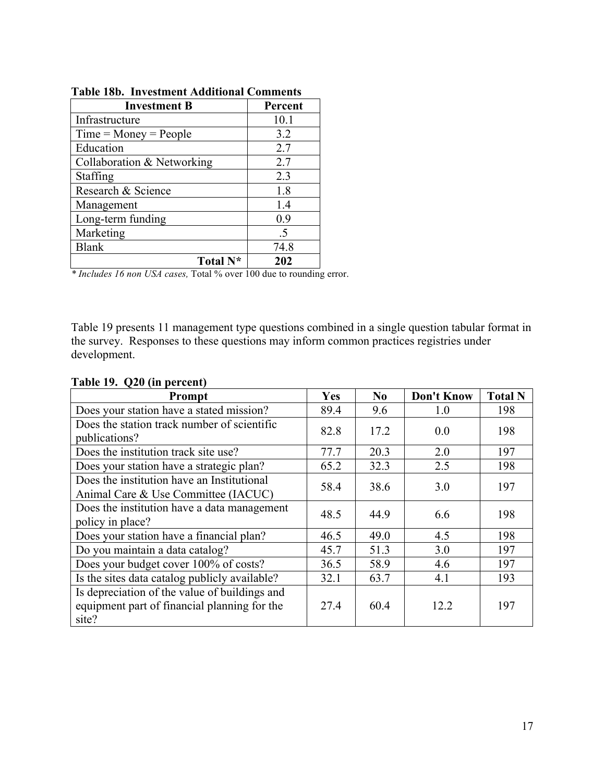| <b>Investment B</b>        | Percent |
|----------------------------|---------|
| Infrastructure             | 10.1    |
| $Time = Money = People$    | 3.2     |
| Education                  | 2.7     |
| Collaboration & Networking | 2.7     |
| Staffing                   | 2.3     |
| Research & Science         | 1.8     |
| Management                 | 1.4     |
| Long-term funding          | 0.9     |
| Marketing                  | .5      |
| <b>Blank</b>               | 74.8    |
| Total N <sup>*</sup>       | 202     |

**Table 18b. Investment Additional Comments**

*\* Includes 16 non USA cases,* Total % over 100 due to rounding error.

Table 19 presents 11 management type questions combined in a single question tabular format in the survey. Responses to these questions may inform common practices registries under development.

| Prompt                                                                                                 | Yes  | No   | <b>Don't Know</b> | <b>Total N</b> |
|--------------------------------------------------------------------------------------------------------|------|------|-------------------|----------------|
| Does your station have a stated mission?                                                               | 89.4 | 9.6  | 1.0               | 198            |
| Does the station track number of scientific<br>publications?                                           | 82.8 | 17.2 | 0.0               | 198            |
| Does the institution track site use?                                                                   | 77.7 | 20.3 | 2.0               | 197            |
| Does your station have a strategic plan?                                                               | 65.2 | 32.3 | 2.5               | 198            |
| Does the institution have an Institutional<br>Animal Care & Use Committee (IACUC)                      | 58.4 | 38.6 | 3.0               | 197            |
| Does the institution have a data management<br>policy in place?                                        | 48.5 | 44.9 | 6.6               | 198            |
| Does your station have a financial plan?                                                               | 46.5 | 49.0 | 4.5               | 198            |
| Do you maintain a data catalog?                                                                        | 45.7 | 51.3 | 3.0               | 197            |
| Does your budget cover 100% of costs?                                                                  | 36.5 | 58.9 | 4.6               | 197            |
| Is the sites data catalog publicly available?                                                          | 32.1 | 63.7 | 4.1               | 193            |
| Is depreciation of the value of buildings and<br>equipment part of financial planning for the<br>site? | 27.4 | 60.4 | 12.2              | 197            |

# **Table 19. Q20 (in percent)**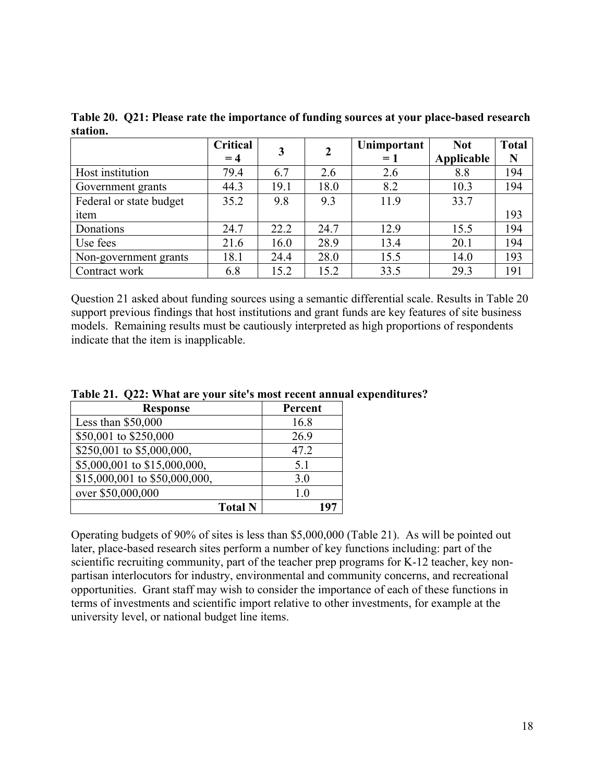|                         | Critical<br>$= 4$ | 3    | $\mathbf{2}$ | Unimportant<br>$=1$ | <b>Not</b><br>Applicable | <b>Total</b><br>N |
|-------------------------|-------------------|------|--------------|---------------------|--------------------------|-------------------|
| Host institution        | 79.4              | 6.7  | 2.6          | 2.6                 | 8.8                      | 194               |
| Government grants       | 44.3              | 19.1 | 18.0         | 8.2                 | 10.3                     | 194               |
| Federal or state budget | 35.2              | 9.8  | 9.3          | 11.9                | 33.7                     |                   |
| item                    |                   |      |              |                     |                          | 193               |
| Donations               | 24.7              | 22.2 | 24.7         | 12.9                | 15.5                     | 194               |
| Use fees                | 21.6              | 16.0 | 28.9         | 13.4                | 20.1                     | 194               |
| Non-government grants   | 18.1              | 24.4 | 28.0         | 15.5                | 14.0                     | 193               |
| Contract work           | 6.8               | 15.2 | 15.2         | 33.5                | 29.3                     | 191               |

**Table 20. Q21: Please rate the importance of funding sources at your place-based research station.**

Question 21 asked about funding sources using a semantic differential scale. Results in Table 20 support previous findings that host institutions and grant funds are key features of site business models. Remaining results must be cautiously interpreted as high proportions of respondents indicate that the item is inapplicable.

|  |  | Table 21. Q22: What are your site's most recent annual expenditures? |  |
|--|--|----------------------------------------------------------------------|--|
|--|--|----------------------------------------------------------------------|--|

| <b>Response</b>               | Percent        |
|-------------------------------|----------------|
| Less than $$50,000$           | 16.8           |
| \$50,001 to \$250,000         | 26.9           |
| \$250,001 to \$5,000,000,     | 47.2           |
| \$5,000,001 to \$15,000,000,  | 5.1            |
| \$15,000,001 to \$50,000,000, | 3.0            |
| over \$50,000,000             | 1 <sub>0</sub> |
| <b>Total N</b>                |                |

Operating budgets of 90% of sites is less than \$5,000,000 (Table 21). As will be pointed out later, place-based research sites perform a number of key functions including: part of the scientific recruiting community, part of the teacher prep programs for K-12 teacher, key nonpartisan interlocutors for industry, environmental and community concerns, and recreational opportunities. Grant staff may wish to consider the importance of each of these functions in terms of investments and scientific import relative to other investments, for example at the university level, or national budget line items.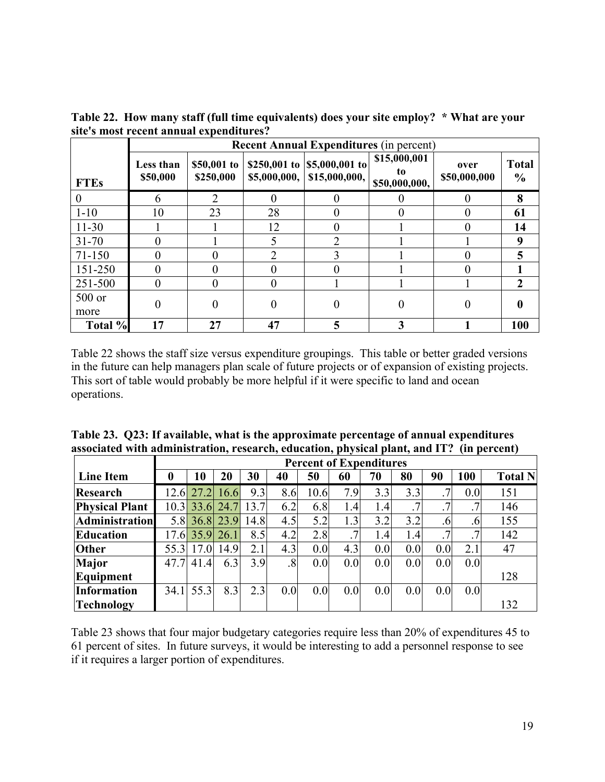|                | <b>Recent Annual Expenditures (in percent)</b> |                          |                |                                                |                                     |                      |                               |  |
|----------------|------------------------------------------------|--------------------------|----------------|------------------------------------------------|-------------------------------------|----------------------|-------------------------------|--|
| <b>FTEs</b>    | Less than<br>\$50,000                          | \$50,001 to<br>\$250,000 | \$5,000,000,   | \$250,001 to $ $5,000,001$ to<br>\$15,000,000, | \$15,000,001<br>to<br>\$50,000,000, | over<br>\$50,000,000 | <b>Total</b><br>$\frac{0}{0}$ |  |
| 0              | 6                                              | $\mathfrak{D}$           | $\theta$       | 0                                              |                                     |                      | 8                             |  |
| $1 - 10$       | 10                                             | 23                       | 28             | 0                                              | $\theta$                            |                      | 61                            |  |
| $11-30$        |                                                |                          | 12             | 0                                              |                                     |                      | 14                            |  |
| $31 - 70$      |                                                |                          | 5              | $\mathcal{D}_{\mathcal{A}}$                    |                                     |                      | 9                             |  |
| $71 - 150$     |                                                |                          | $\mathfrak{D}$ | 3                                              |                                     |                      | 5                             |  |
| 151-250        |                                                |                          | $\theta$       | 0                                              |                                     |                      |                               |  |
| 251-500        | 0                                              |                          | $\Omega$       |                                                |                                     |                      | $\mathbf{2}$                  |  |
| 500 or<br>more | 0                                              | 0                        | 0              | 0                                              | 0                                   |                      | 0                             |  |
| Total %        | 17                                             | 27                       | 47             | 5                                              |                                     |                      | 100                           |  |

**Table 22. How many staff (full time equivalents) does your site employ? \* What are your site's most recent annual expenditures?** 

Table 22 shows the staff size versus expenditure groupings. This table or better graded versions in the future can help managers plan scale of future projects or of expansion of existing projects. This sort of table would probably be more helpful if it were specific to land and ocean operations.

| Table 23. Q23: If available, what is the approximate percentage of annual expenditures    |  |
|-------------------------------------------------------------------------------------------|--|
| associated with administration, research, education, physical plant, and IT? (in percent) |  |

|                       |      | <b>Percent of Expenditures</b> |      |      |               |      |     |     |     |                 |     |                |
|-----------------------|------|--------------------------------|------|------|---------------|------|-----|-----|-----|-----------------|-----|----------------|
| <b>Line Item</b>      | 0    | 10                             | 20   | 30   | 40            | 50   | 60  | 70  | 80  | 90              | 100 | <b>Total N</b> |
| Research              |      | $12.6$ 27.2                    | 16.6 | 9.3  | 8.6           | 10.6 | 7.9 | 3.3 | 3.3 | .7 <sup>1</sup> | 0.0 | 151            |
| <b>Physical Plant</b> |      | $10.3$ 33.6                    | 24.7 | 13.7 | 6.2           | 6.8  | 1.4 | 1.4 |     | $.7\phantom{0}$ |     | 146            |
| <b>Administration</b> |      | 5.8 36.8 23.9                  |      | 14.8 | 4.5           | 5.2  | 1.3 | 3.2 | 3.2 | .6              | .6  | 155            |
| Education             |      | 17.6 35.9 26.1                 |      | 8.5  | 4.2           | 2.8  | 7   | 1.4 | 1.4 | .7 <sup>1</sup> |     | 142            |
| <b>Other</b>          |      | 55.3 17.0                      | 14.9 | 2.1  | 4.3           | 0.0  | 4.3 | 0.0 | 0.0 | 0.0             | 2.1 | 47             |
| <b>Major</b>          |      | 47.7 41.4                      | 6.3  | 3.9  | $\mathcal{S}$ | 0.0  | 0.0 | 0.0 | 0.0 | 0.0             | 0.0 |                |
| Equipment             |      |                                |      |      |               |      |     |     |     |                 |     | 128            |
| Information           | 34.1 | 55.3                           | 8.3  | 2.3  | 0.0           | 0.0  | 0.0 | 0.0 | 0.0 | 0.0             | 0.0 |                |
| <b>Technology</b>     |      |                                |      |      |               |      |     |     |     |                 |     | 132            |

Table 23 shows that four major budgetary categories require less than 20% of expenditures 45 to 61 percent of sites. In future surveys, it would be interesting to add a personnel response to see if it requires a larger portion of expenditures.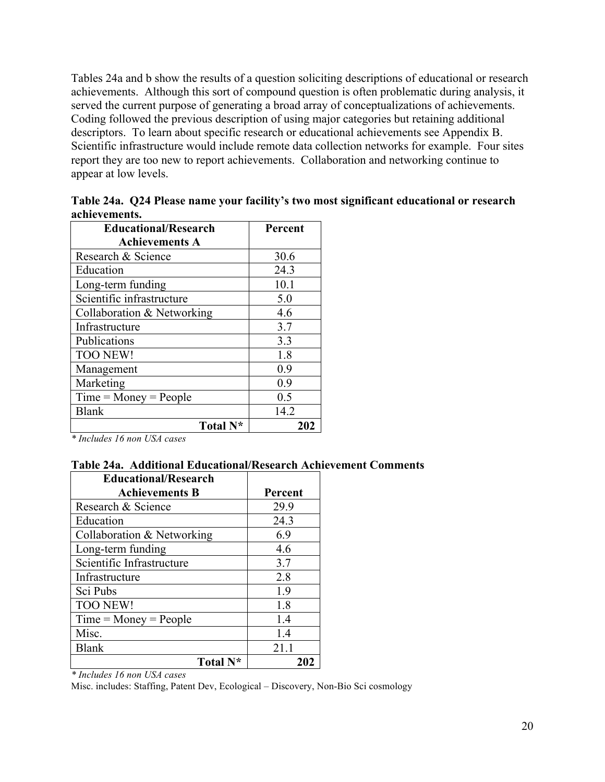Tables 24a and b show the results of a question soliciting descriptions of educational or research achievements. Although this sort of compound question is often problematic during analysis, it served the current purpose of generating a broad array of conceptualizations of achievements. Coding followed the previous description of using major categories but retaining additional descriptors. To learn about specific research or educational achievements see Appendix B. Scientific infrastructure would include remote data collection networks for example. Four sites report they are too new to report achievements. Collaboration and networking continue to appear at low levels.

| <b>Educational/Research</b> | Percent |
|-----------------------------|---------|
| <b>Achievements A</b>       |         |
| Research & Science          | 30.6    |
| Education                   | 24.3    |
| Long-term funding           | 10.1    |
| Scientific infrastructure   | 5.0     |
| Collaboration & Networking  | 4.6     |
| Infrastructure              | 3.7     |
| Publications                | 3.3     |
| <b>TOO NEW!</b>             | 1.8     |
| Management                  | 0.9     |
| Marketing                   | 0.9     |
| $Time = Money = People$     | 0.5     |
| <b>Blank</b>                | 14.2    |
| Total N <sup>*</sup>        | 202     |

**Table 24a. Q24 Please name your facility's two most significant educational or research achievements.**

*\* Includes 16 non USA cases*

### **Table 24a. Additional Educational/Research Achievement Comments**

| <b>Educational/Research</b> |         |
|-----------------------------|---------|
| <b>Achievements B</b>       | Percent |
| Research & Science          | 29.9    |
| Education                   | 24.3    |
| Collaboration & Networking  | 6.9     |
| Long-term funding           | 4.6     |
| Scientific Infrastructure   | 3.7     |
| Infrastructure              | 2.8     |
| Sci Pubs                    | 1.9     |
| <b>TOO NEW!</b>             | 1.8     |
| $Time = Money = People$     | 1.4     |
| Misc.                       | 1.4     |
| <b>Blank</b>                | 21.1    |
| Total N <sup>*</sup>        | 202     |

*\* Includes 16 non USA cases*

Misc. includes: Staffing, Patent Dev, Ecological – Discovery, Non-Bio Sci cosmology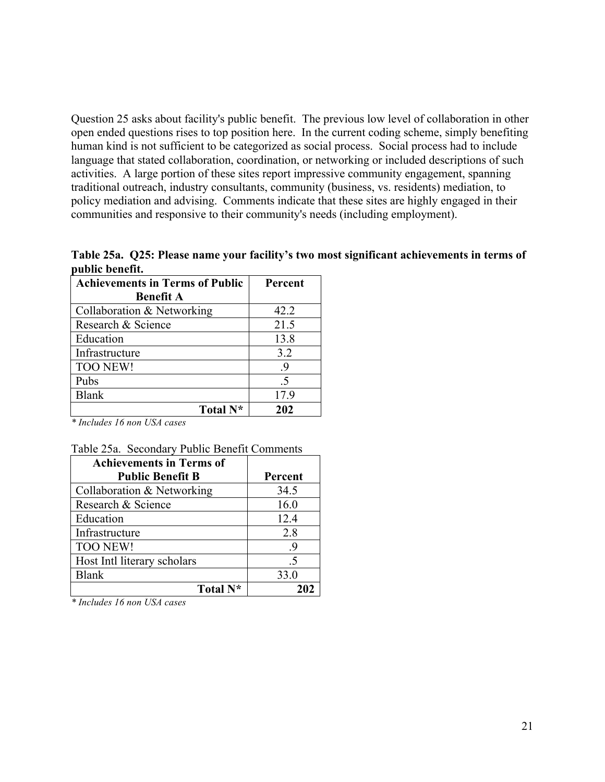Question 25 asks about facility's public benefit. The previous low level of collaboration in other open ended questions rises to top position here. In the current coding scheme, simply benefiting human kind is not sufficient to be categorized as social process. Social process had to include language that stated collaboration, coordination, or networking or included descriptions of such activities. A large portion of these sites report impressive community engagement, spanning traditional outreach, industry consultants, community (business, vs. residents) mediation, to policy mediation and advising. Comments indicate that these sites are highly engaged in their communities and responsive to their community's needs (including employment).

**Table 25a. Q25: Please name your facility's two most significant achievements in terms of public benefit.**

| <b>Achievements in Terms of Public</b> | Percent |
|----------------------------------------|---------|
| <b>Benefit A</b>                       |         |
| Collaboration & Networking             | 42.2    |
| Research & Science                     | 21.5    |
| Education                              | 13.8    |
| Infrastructure                         | 3.2     |
| <b>TOO NEW!</b>                        | .9      |
| Pubs                                   | .5      |
| <b>Blank</b>                           | 17.9    |
| Total N*                               | 202     |

*\* Includes 16 non USA cases*

|  |  | Table 25a. Secondary Public Benefit Comments |
|--|--|----------------------------------------------|
|  |  |                                              |

| <b>Achievements in Terms of</b> |         |
|---------------------------------|---------|
| <b>Public Benefit B</b>         | Percent |
| Collaboration & Networking      | 34.5    |
| Research & Science              | 16.0    |
| Education                       | 12.4    |
| Infrastructure                  | 2.8     |
| <b>TOO NEW!</b>                 | .9      |
| Host Intl literary scholars     | -5      |
| <b>Blank</b>                    | 33.0    |
| Total N <sup>*</sup>            |         |

*\* Includes 16 non USA cases*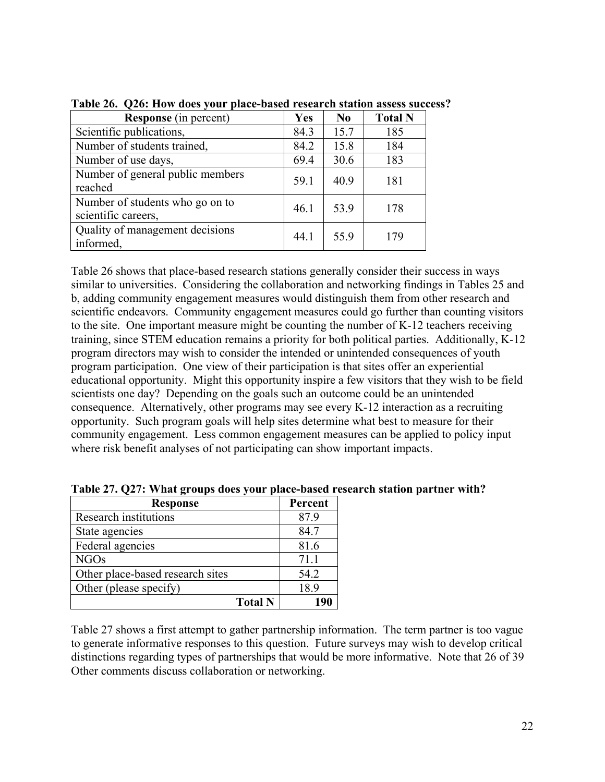| <b>Response</b> (in percent)                           | Yes  | N <sub>0</sub> | <b>Total N</b> |
|--------------------------------------------------------|------|----------------|----------------|
| Scientific publications,                               | 84.3 | 15.7           | 185            |
| Number of students trained,                            | 84.2 | 15.8           | 184            |
| Number of use days,                                    | 69.4 | 30.6           | 183            |
| Number of general public members<br>reached            | 59.1 | 40.9           | 181            |
| Number of students who go on to<br>scientific careers, | 46.1 | 53.9           | 178            |
| Quality of management decisions<br>informed,           | 44.1 | 55.9           | 179            |

**Table 26. Q26: How does your place-based research station assess success?**

Table 26 shows that place-based research stations generally consider their success in ways similar to universities. Considering the collaboration and networking findings in Tables 25 and b, adding community engagement measures would distinguish them from other research and scientific endeavors. Community engagement measures could go further than counting visitors to the site. One important measure might be counting the number of K-12 teachers receiving training, since STEM education remains a priority for both political parties. Additionally, K-12 program directors may wish to consider the intended or unintended consequences of youth program participation. One view of their participation is that sites offer an experiential educational opportunity. Might this opportunity inspire a few visitors that they wish to be field scientists one day? Depending on the goals such an outcome could be an unintended consequence. Alternatively, other programs may see every K-12 interaction as a recruiting opportunity. Such program goals will help sites determine what best to measure for their community engagement. Less common engagement measures can be applied to policy input where risk benefit analyses of not participating can show important impacts.

| <b>Response</b>                  | Percent |
|----------------------------------|---------|
| Research institutions            | 87.9    |
| State agencies                   | 84.7    |
| Federal agencies                 | 81.6    |
| <b>NGOs</b>                      | 71.1    |
| Other place-based research sites | 54.2    |
| Other (please specify)           | 18.9    |
| <b>Total N</b>                   | 101     |

**Table 27. Q27: What groups does your place-based research station partner with?**

Table 27 shows a first attempt to gather partnership information. The term partner is too vague to generate informative responses to this question. Future surveys may wish to develop critical distinctions regarding types of partnerships that would be more informative. Note that 26 of 39 Other comments discuss collaboration or networking.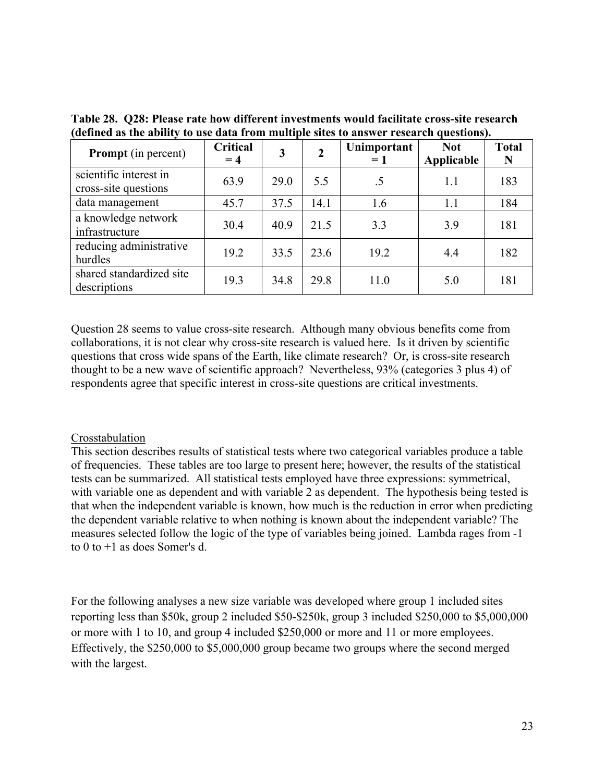| <b>Prompt</b> (in percent)                     | <b>Critical</b><br>$= 4$ | 3    | $\overline{2}$ | Unimportant<br>$=1$ | <b>Not</b><br>Applicable | <b>Total</b><br>N |
|------------------------------------------------|--------------------------|------|----------------|---------------------|--------------------------|-------------------|
| scientific interest in<br>cross-site questions | 63.9                     | 29.0 | 5.5            | .5                  | 1.1                      | 183               |
| data management                                | 45.7                     | 37.5 | 14.1           | 1.6                 | 1.1                      | 184               |
| a knowledge network<br>infrastructure          | 30.4                     | 40.9 | 21.5           | 3.3                 | 3.9                      | 181               |
| reducing administrative<br>hurdles             | 19.2                     | 33.5 | 23.6           | 19.2                | 4.4                      | 182               |
| shared standardized site<br>descriptions       | 19.3                     | 34.8 | 29.8           | 11.0                | 5.0                      | 181               |

**Table 28. Q28: Please rate how different investments would facilitate cross-site research (defined as the ability to use data from multiple sites to answer research questions).** 

Question 28 seems to value cross-site research. Although many obvious benefits come from collaborations, it is not clear why cross-site research is valued here. Is it driven by scientific questions that cross wide spans of the Earth, like climate research? Or, is cross-site research thought to be a new wave of scientific approach? Nevertheless, 93% (categories 3 plus 4) of respondents agree that specific interest in cross-site questions are critical investments.

#### Crosstabulation

This section describes results of statistical tests where two categorical variables produce a table of frequencies. These tables are too large to present here; however, the results of the statistical tests can be summarized. All statistical tests employed have three expressions: symmetrical, with variable one as dependent and with variable 2 as dependent. The hypothesis being tested is that when the independent variable is known, how much is the reduction in error when predicting the dependent variable relative to when nothing is known about the independent variable? The measures selected follow the logic of the type of variables being joined. Lambda rages from -1 to 0 to +1 as does Somer's d.

For the following analyses a new size variable was developed where group 1 included sites reporting less than \$50k, group 2 included \$50-\$250k, group 3 included \$250,000 to \$5,000,000 or more with 1 to 10, and group 4 included \$250,000 or more and 11 or more employees. Effectively, the \$250,000 to \$5,000,000 group became two groups where the second merged with the largest.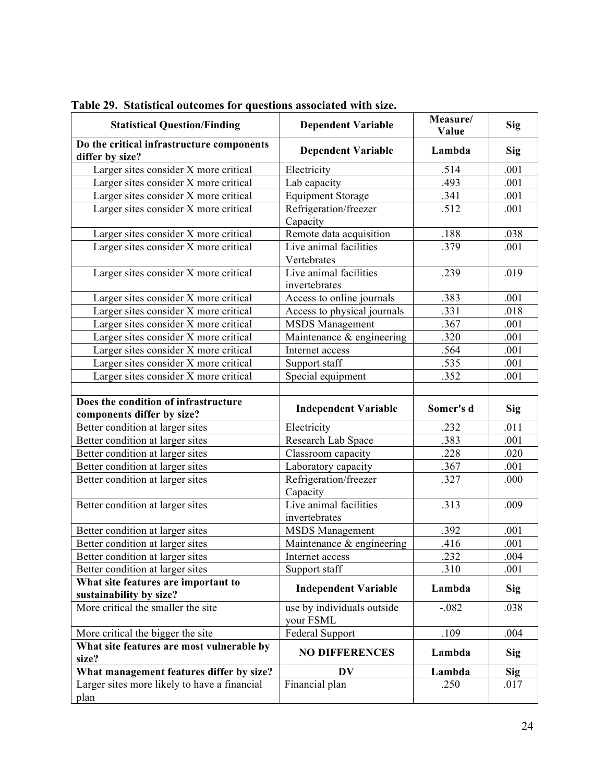| <b>Statistical Question/Finding</b>                                | <b>Dependent Variable</b>               | Measure/<br>Value | Sig        |
|--------------------------------------------------------------------|-----------------------------------------|-------------------|------------|
| Do the critical infrastructure components<br>differ by size?       | <b>Dependent Variable</b>               | Lambda            | <b>Sig</b> |
| Larger sites consider X more critical                              | Electricity                             | .514              | .001       |
| Larger sites consider X more critical                              | Lab capacity                            | .493              | .001       |
| Larger sites consider X more critical                              | <b>Equipment Storage</b>                | .341              | .001       |
| Larger sites consider X more critical                              | Refrigeration/freezer<br>Capacity       | .512              | .001       |
| Larger sites consider X more critical                              | Remote data acquisition                 | .188              | .038       |
| Larger sites consider X more critical                              | Live animal facilities<br>Vertebrates   | .379              | .001       |
| Larger sites consider X more critical                              | Live animal facilities<br>invertebrates | .239              | .019       |
| Larger sites consider X more critical                              | Access to online journals               | .383              | .001       |
| Larger sites consider X more critical                              | Access to physical journals             | .331              | .018       |
| Larger sites consider X more critical                              | <b>MSDS</b> Management                  | .367              | .001       |
| Larger sites consider X more critical                              | Maintenance & engineering               | .320              | .001       |
| Larger sites consider X more critical                              | Internet access                         | .564              | .001       |
| Larger sites consider X more critical                              | Support staff                           | .535              | .001       |
| Larger sites consider X more critical                              | Special equipment                       | .352              | .001       |
| Does the condition of infrastructure<br>components differ by size? | <b>Independent Variable</b>             | Somer's d         | Sig        |
| Better condition at larger sites                                   | Electricity                             | .232              | .011       |
| Better condition at larger sites                                   | Research Lab Space                      | .383              | .001       |
| Better condition at larger sites                                   | Classroom capacity                      | .228              | .020       |
| Better condition at larger sites                                   | Laboratory capacity                     | .367              | .001       |
| Better condition at larger sites                                   | Refrigeration/freezer<br>Capacity       | .327              | .000       |
| Better condition at larger sites                                   | Live animal facilities<br>invertebrates | .313              | .009       |
| Better condition at larger sites                                   | <b>MSDS</b> Management                  | .392              | .001       |
| Better condition at larger sites                                   | Maintenance & engineering               | .416              | .001       |
| Better condition at larger sites                                   | Internet access                         | .232              | .004       |
| Better condition at larger sites                                   | Support staff                           | .310              | .001       |
| What site features are important to<br>sustainability by size?     | <b>Independent Variable</b>             | Lambda            | <b>Sig</b> |
| More critical the smaller the site                                 | use by individuals outside<br>your FSML | $-.082$           | .038       |
| More critical the bigger the site                                  | Federal Support                         | .109              | .004       |
| What site features are most vulnerable by<br>size?                 | <b>NO DIFFERENCES</b>                   | Lambda            | <b>Sig</b> |
| What management features differ by size?                           | DV                                      | Lambda            | <b>Sig</b> |
| Larger sites more likely to have a financial<br>plan               | Financial plan                          | .250              | .017       |

**Table 29. Statistical outcomes for questions associated with size.**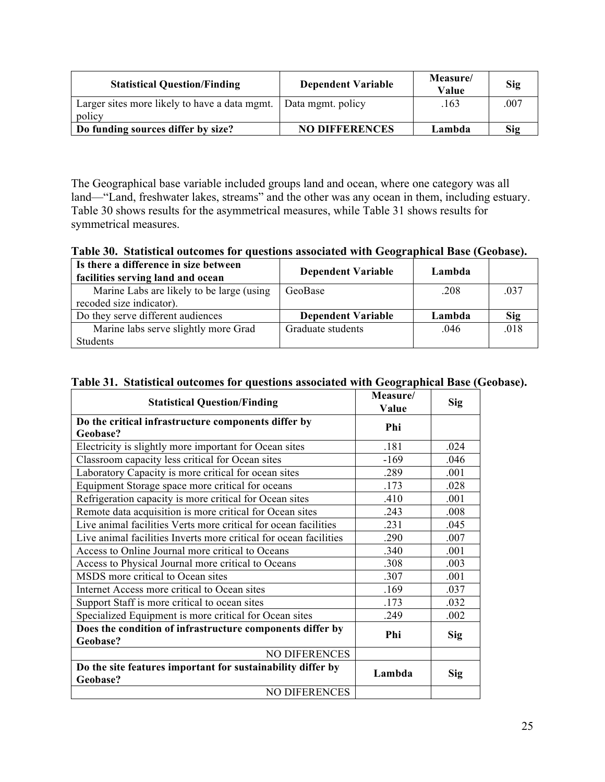| <b>Statistical Question/Finding</b>                               | <b>Dependent Variable</b> | Measure/<br>Value | Sig  |
|-------------------------------------------------------------------|---------------------------|-------------------|------|
| Larger sites more likely to have a data mgmt.   Data mgmt. policy |                           | .163              | .007 |
| policy                                                            |                           |                   |      |
| Do funding sources differ by size?                                | <b>NO DIFFERENCES</b>     | Lambda            | Sig  |

The Geographical base variable included groups land and ocean, where one category was all land—"Land, freshwater lakes, streams" and the other was any ocean in them, including estuary. Table 30 shows results for the asymmetrical measures, while Table 31 shows results for symmetrical measures.

**Table 30. Statistical outcomes for questions associated with Geographical Base (Geobase).**

| Is there a difference in size between<br>facilities serving land and ocean | <b>Dependent Variable</b> | Lambda |            |
|----------------------------------------------------------------------------|---------------------------|--------|------------|
| Marine Labs are likely to be large (using                                  | GeoBase                   | .208   | .037       |
| recoded size indicator).                                                   |                           |        |            |
| Do they serve different audiences                                          | <b>Dependent Variable</b> | Lambda | <b>Sig</b> |
| Marine labs serve slightly more Grad                                       | Graduate students         | .046   | .018       |
| Students                                                                   |                           |        |            |

| Table 31. Statistical outcomes for questions associated with Geographical Base (Geobase). |                |  |
|-------------------------------------------------------------------------------------------|----------------|--|
|                                                                                           | $\blacksquare$ |  |

| <b>Statistical Question/Finding</b>                                     | Measure/<br>Value | Sig        |
|-------------------------------------------------------------------------|-------------------|------------|
| Do the critical infrastructure components differ by                     | Phi               |            |
| Geobase?                                                                |                   |            |
| Electricity is slightly more important for Ocean sites                  | .181              | .024       |
| Classroom capacity less critical for Ocean sites                        | $-169$            | .046       |
| Laboratory Capacity is more critical for ocean sites                    | .289              | .001       |
| Equipment Storage space more critical for oceans                        | .173              | .028       |
| Refrigeration capacity is more critical for Ocean sites                 | .410              | .001       |
| Remote data acquisition is more critical for Ocean sites                | .243              | .008       |
| Live animal facilities Verts more critical for ocean facilities         | .231              | .045       |
| Live animal facilities Inverts more critical for ocean facilities       | .290              | .007       |
| Access to Online Journal more critical to Oceans                        | .340              | .001       |
| Access to Physical Journal more critical to Oceans                      | .308              | .003       |
| MSDS more critical to Ocean sites                                       | .307              | .001       |
| Internet Access more critical to Ocean sites                            | .169              | .037       |
| Support Staff is more critical to ocean sites                           | .173              | .032       |
| Specialized Equipment is more critical for Ocean sites                  | .249              | .002       |
| Does the condition of infrastructure components differ by               | Phi               |            |
| Geobase?                                                                |                   | <b>Sig</b> |
| <b>NO DIFERENCES</b>                                                    |                   |            |
| Do the site features important for sustainability differ by<br>Geobase? | Lambda            | Sig        |
| <b>NO DIFERENCES</b>                                                    |                   |            |